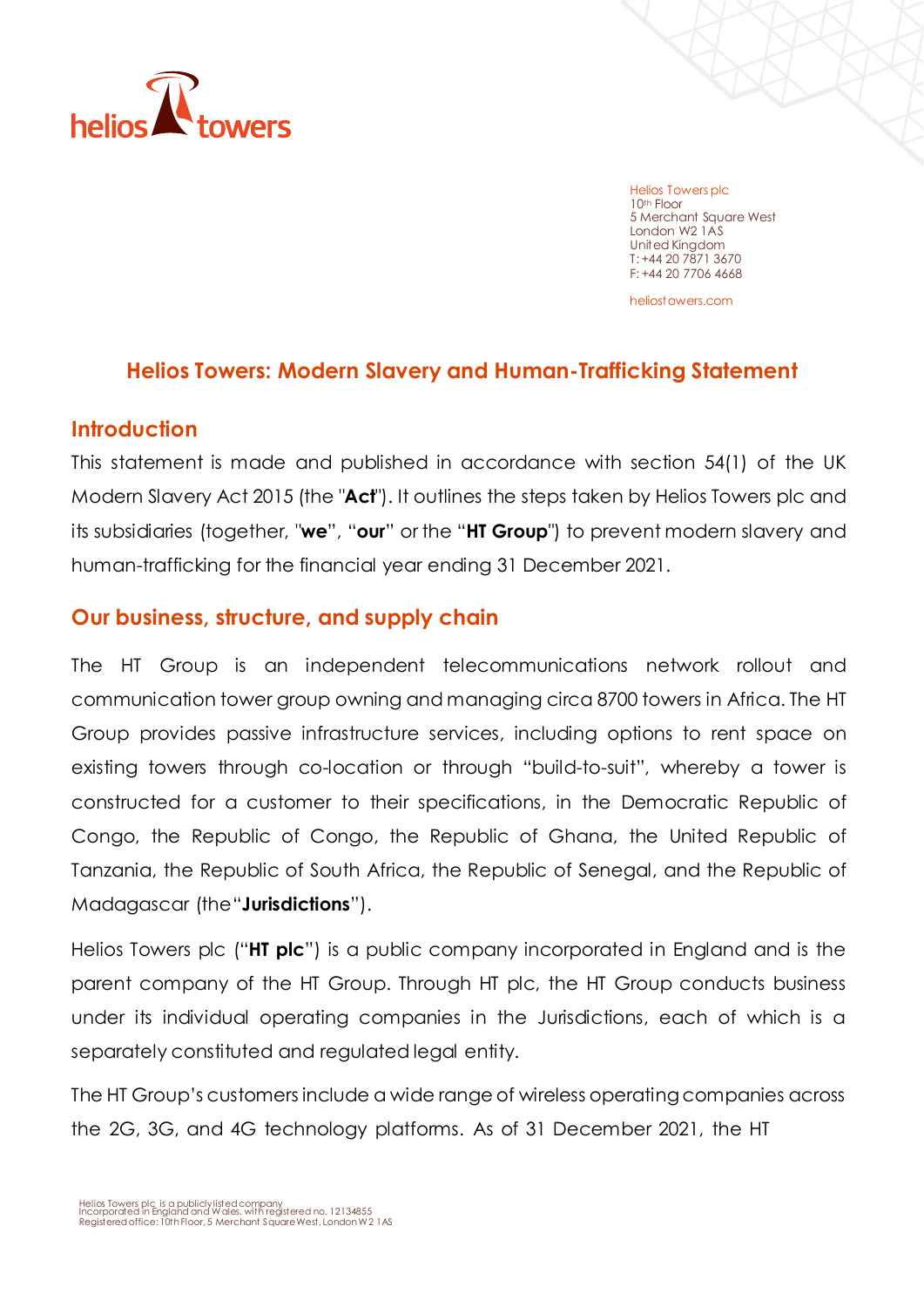

Helios Towers plc 10th Floor 5 Merchant Square West London W2 1AS United Kingdom T: +44 20 7871 3670 F: +44 20 7706 4668

heliostowers.com

### **Helios Towers: Modern Slavery and Human-Trafficking Statement**

#### **Introduction**

This statement is made and published in accordance with section 54(1) of the UK Modern Slavery Act 2015 (the "**Act**"). It outlines the steps taken by Helios Towers plc and its subsidiaries (together, "**we**", "**our**" or the "**HT Group**") to prevent modern slavery and human-trafficking for the financial year ending 31 December 2021.

### **Our business, structure, and supply chain**

The HT Group is an independent telecommunications network rollout and communication tower group owning and managing circa 8700 towers in Africa. The HT Group provides passive infrastructure services, including options to rent space on existing towers through co-location or through "build-to-suit", whereby a tower is constructed for a customer to their specifications, in the Democratic Republic of Congo, the Republic of Congo, the Republic of Ghana, the United Republic of Tanzania, the Republic of South Africa, the Republic of Senegal, and the Republic of Madagascar (the"**Jurisdictions**").

Helios Towers plc ("**HT plc**") is a public company incorporated in England and is the parent company of the HT Group. Through HT plc, the HT Group conducts business under its individual operating companies in the Jurisdictions, each of which is a separately constituted and regulated legal entity.

The HT Group's customers include a wide range of wireless operating companies across the 2G, 3G, and 4G technology platforms. As of 31 December 2021, the HT

Helios Towers plc is <sup>a</sup> publiclylistedcompany Incorporated in England and Wales, with registered no. 12134855

Registered office: 10th Floor, 5 Merchant Square West, London W2 1AS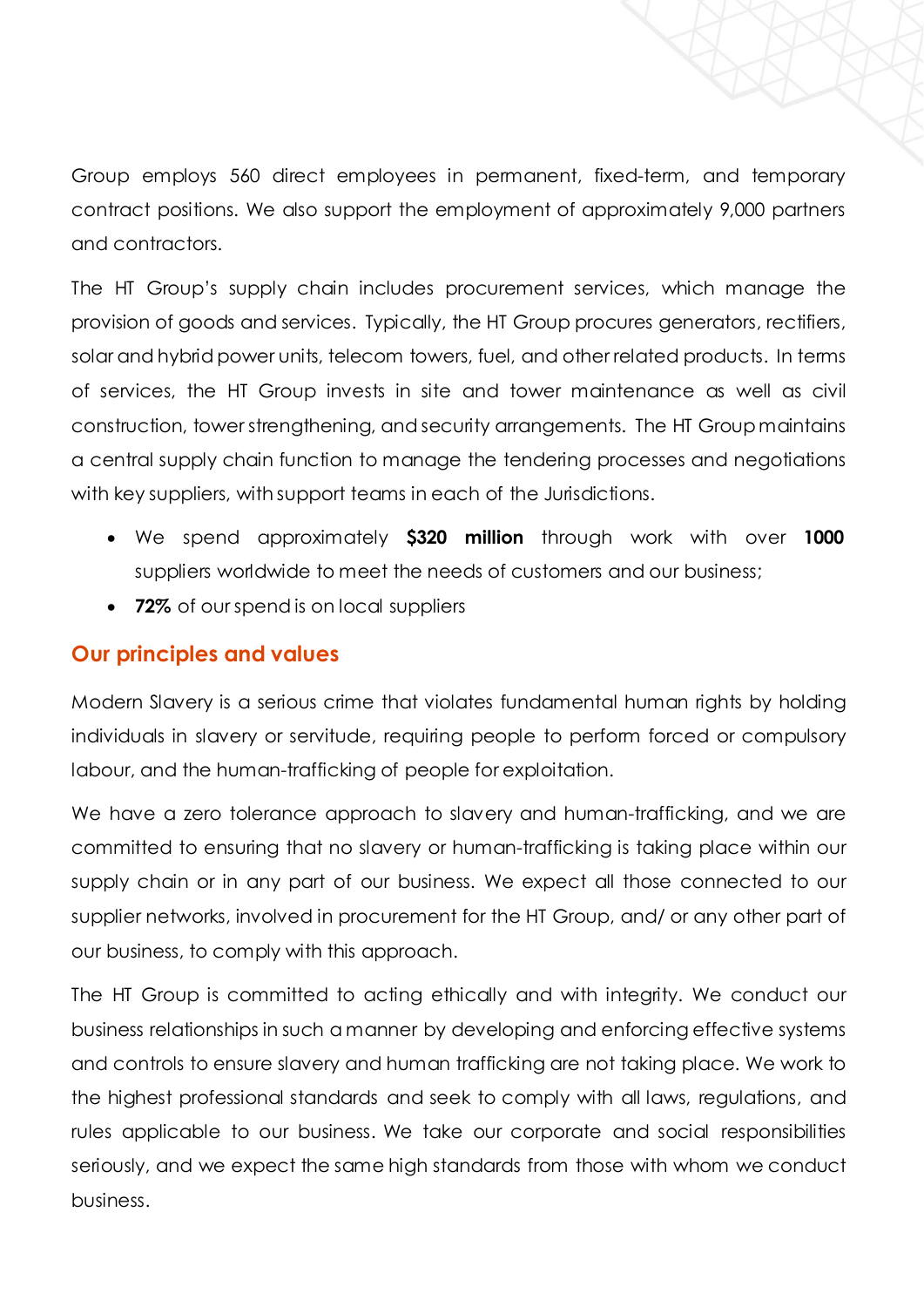Group employs 560 direct employees in permanent, fixed-term, and temporary contract positions. We also support the employment of approximately 9,000 partners and contractors.

The HT Group's supply chain includes procurement services, which manage the provision of goods and services. Typically, the HT Group procures generators, rectifiers, solar and hybrid power units, telecom towers, fuel, and other related products. In terms of services, the HT Group invests in site and tower maintenance as well as civil construction, tower strengthening, and security arrangements. The HT Groupmaintains a central supply chain function to manage the tendering processes and negotiations with key suppliers, with support teams in each of the Jurisdictions.

- We spend approximately **\$320 million** through work with over **1000** suppliers worldwide to meet the needs of customers and our business;
- **72%** of our spend is on local suppliers

## **Our principles and values**

Modern Slavery is a serious crime that violates fundamental human rights by holding individuals in slavery or servitude, requiring people to perform forced or compulsory labour, and the human-trafficking of people for exploitation.

We have a zero tolerance approach to slavery and human-trafficking, and we are committed to ensuring that no slavery or human-trafficking is taking place within our supply chain or in any part of our business. We expect all those connected to our supplier networks, involved in procurement for the HT Group, and/ or any other part of our business, to comply with this approach.

The HT Group is committed to acting ethically and with integrity. We conduct our business relationships in such a manner by developing and enforcing effective systems and controls to ensure slavery and human trafficking are not taking place. We work to the highest professional standards and seek to comply with all laws, regulations, and rules applicable to our business. We take our corporate and social responsibilities seriously, and we expect the same high standards from those with whom we conduct business.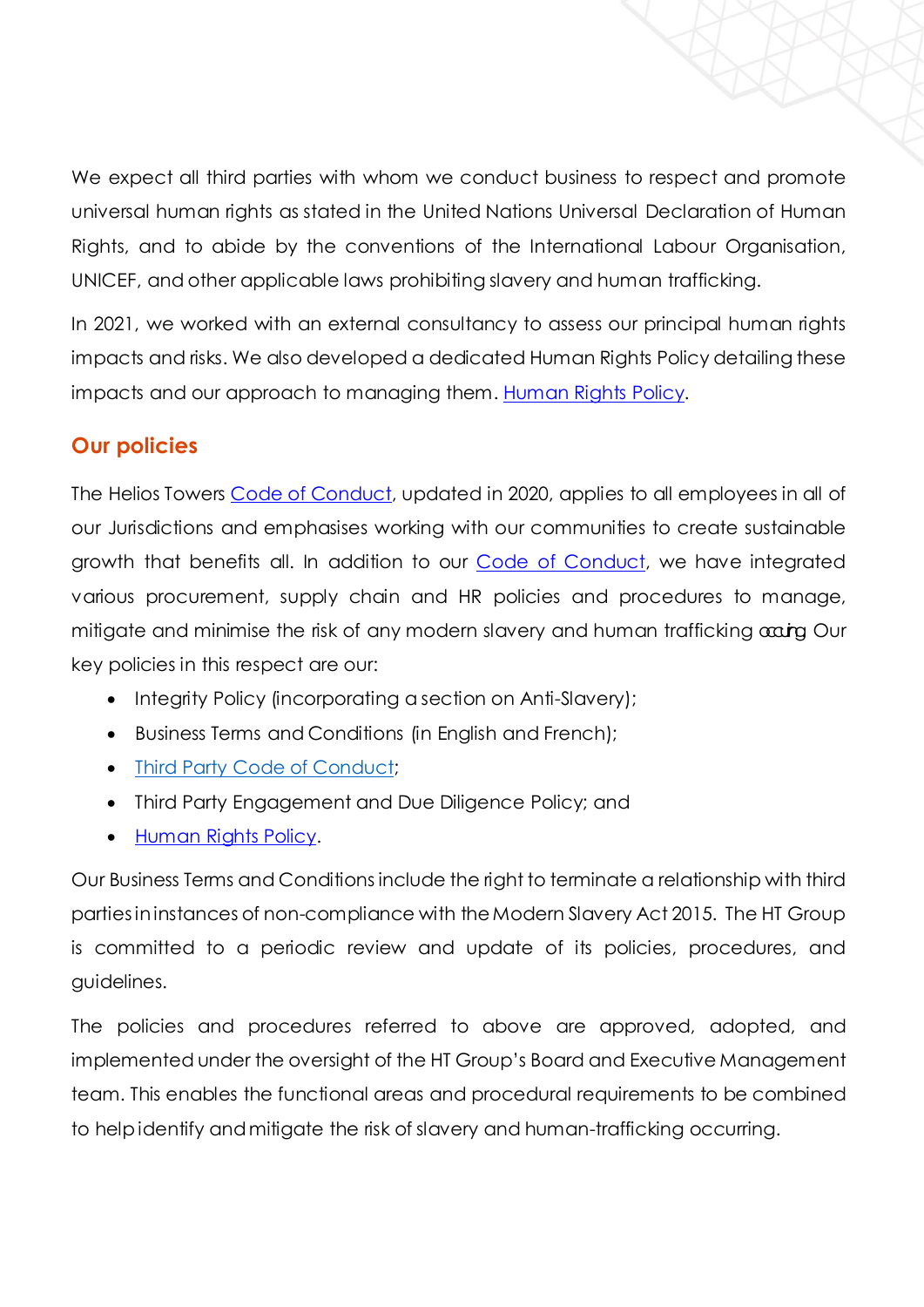We expect all third parties with whom we conduct business to respect and promote universal human rights as stated in the United Nations Universal Declaration of Human Rights, and to abide by the conventions of the International Labour Organisation, UNICEF, and other applicable laws prohibiting slavery and human trafficking.

In 2021, we worked with an external consultancy to assess our principal human rights impacts and risks. We also developed a dedicated Human Rights Policy detailing these impacts and our approach to managing them. [Human Rights Policy.](https://www.heliostowers.com/media/2024/ht-human-rights-policy-2021.pdf)

## **Our policies**

The Helios Towers [Code of Conduct,](https://www.heliostowers.com/media/1723/the-helios-towers-code-of-conduct.pdf) updated in 2020, applies to all employees in all of our Jurisdictions and emphasises working with our communities to create sustainable growth that benefits all. In addition to our [Code of Conduct,](https://www.heliostowers.com/media/1723/the-helios-towers-code-of-conduct.pdf) we have integrated various procurement, supply chain and HR policies and procedures to manage, mitigate and minimise the risk of any modern slavery and human trafficking  $\alpha \dot{\alpha}$  Our key policies in this respect are our:

- Integrity Policy (incorporating a section on Anti-Slavery);
- Business Terms and Conditions (in English and French);
- Third Party Code of [Conduct;](https://www.heliostowers.com/media/1726/third-party-code-of-conduct.pdf)
- Third Party Engagement and Due Diligence Policy; and
- [Human Rights Policy.](https://www.heliostowers.com/media/2024/ht-human-rights-policy-2021.pdf)

Our Business Terms and Conditions include the right to terminate a relationship with third partiesininstances of non-compliance with theModern Slavery Act 2015. The HT Group is committed to a periodic review and update of its policies, procedures, and guidelines.

The policies and procedures referred to above are approved, adopted, and implemented under the oversight of the HT Group's Board and Executive Management team. This enables the functional areas and procedural requirements to be combined to helpidentify andmitigate the risk of slavery and human-trafficking occurring.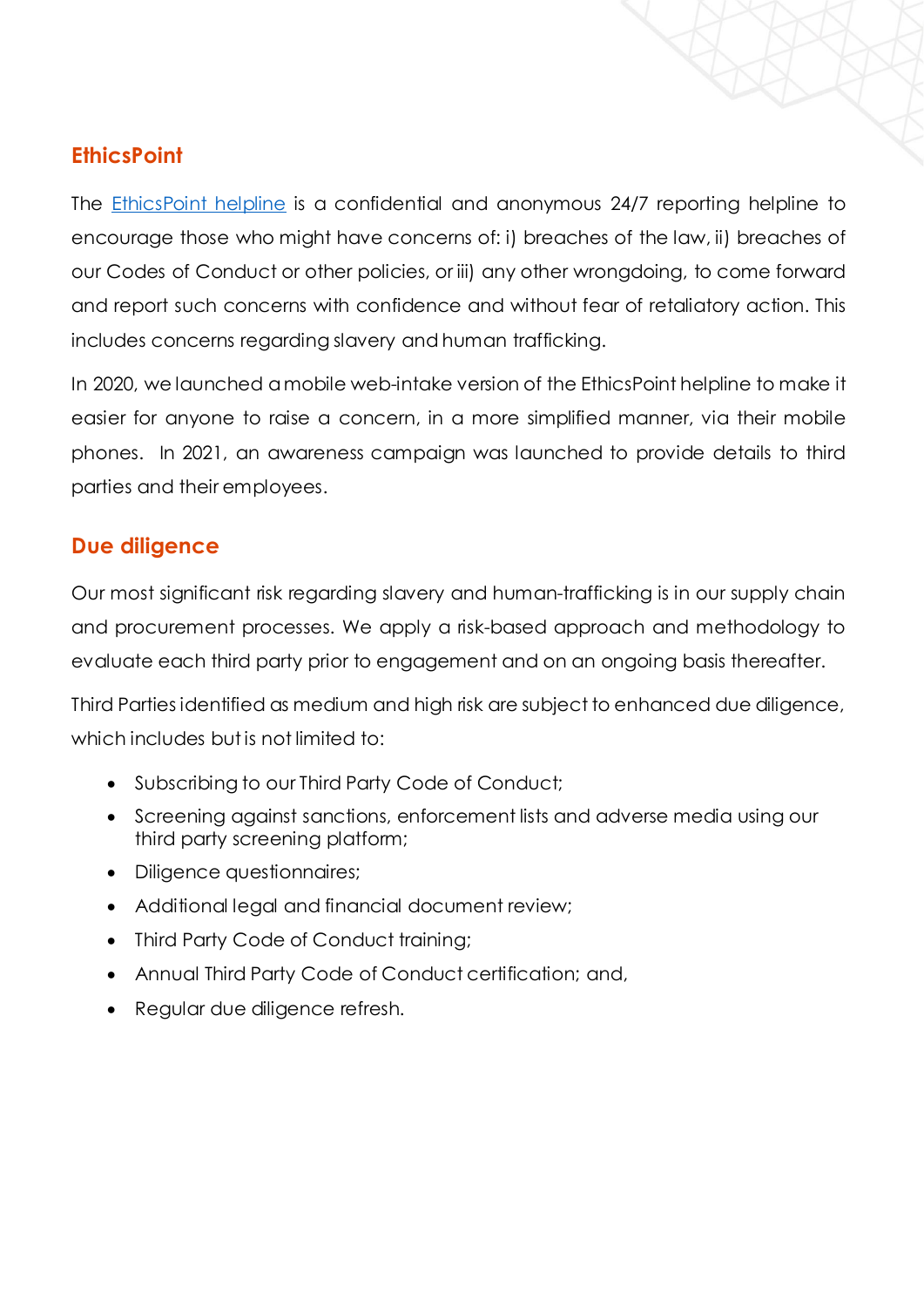# **EthicsPoint**

The [EthicsPoint helpline](https://secure.ethicspoint.eu/domain/media/en/gui/34039/index.html) is a confidential and anonymous 24/7 reporting helpline to encourage those who might have concerns of: i) breaches of the law, ii) breaches of our Codes of Conduct or other policies, or iii) any other wrongdoing, to come forward and report such concerns with confidence and without fear of retaliatory action. This includes concerns regarding slavery and human trafficking.

In 2020, we launched amobile web-intake version of the EthicsPoint helpline to make it easier for anyone to raise a concern, in a more simplified manner, via their mobile phones. In 2021, an awareness campaign was launched to provide details to third parties and their employees.

# **Due diligence**

Our most significant risk regarding slavery and human-trafficking is in our supply chain and procurement processes. We apply a risk-based approach and methodology to evaluate each third party prior to engagement and on an ongoing basis thereafter.

Third Parties identified as medium and high risk are subject to enhanced due diligence, which includes but is not limited to:

- Subscribing to our Third Party Code of Conduct;
- Screening against sanctions, enforcement lists and adverse media using our third party screening platform;
- Diligence questionnaires;
- Additional legal and financial document review;
- Third Party Code of Conduct training;
- Annual Third Party Code of Conduct certification; and,
- Regular due diligence refresh.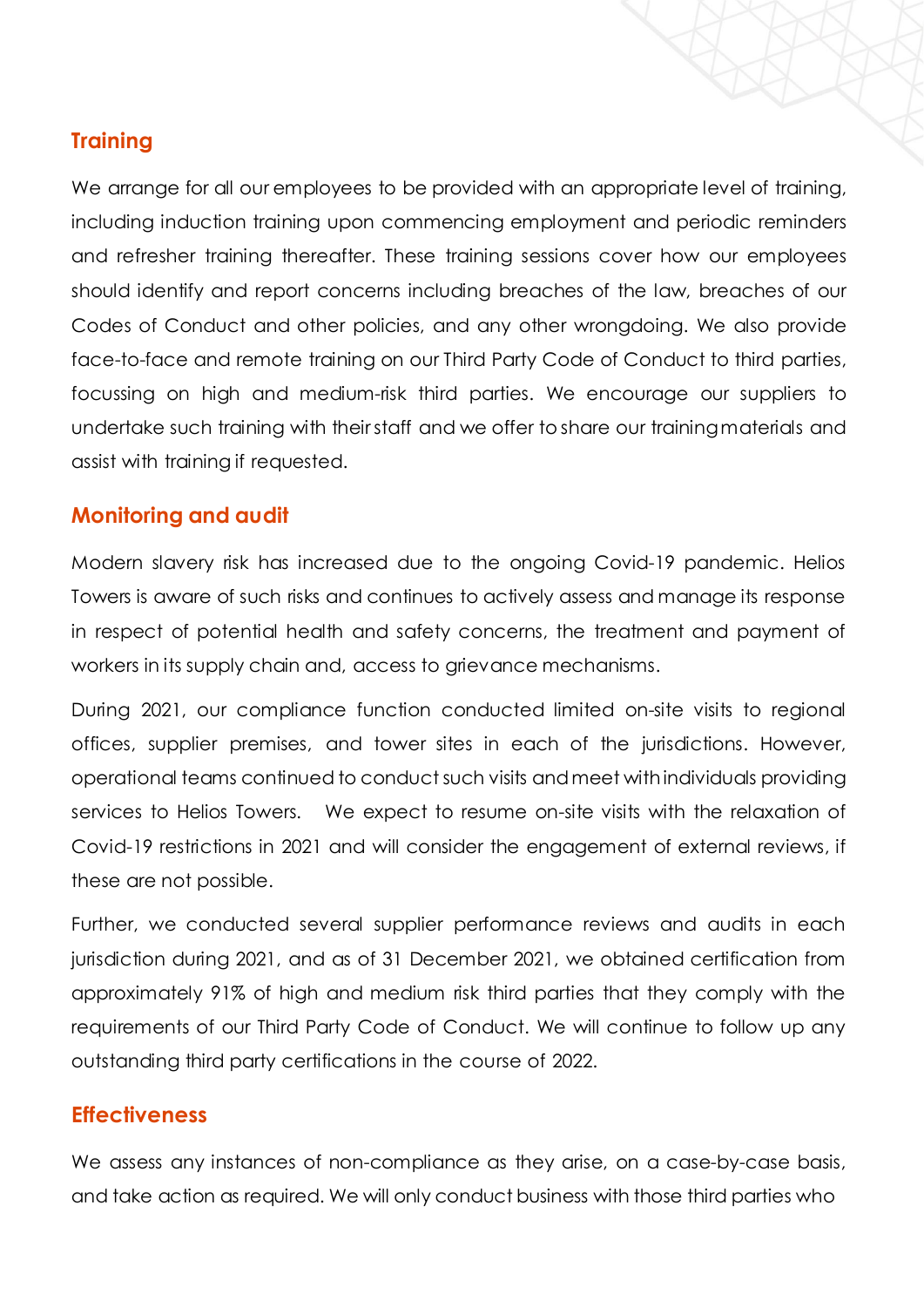## **Training**

We arrange for all our employees to be provided with an appropriate level of training, including induction training upon commencing employment and periodic reminders and refresher training thereafter. These training sessions cover how our employees should identify and report concerns including breaches of the law, breaches of our Codes of Conduct and other policies, and any other wrongdoing. We also provide face-to-face and remote training on our Third Party Code of Conduct to third parties, focussing on high and medium-risk third parties. We encourage our suppliers to undertake such training with theirstaff and we offer to share our trainingmaterials and assist with training if requested.

## **Monitoring and audit**

Modern slavery risk has increased due to the ongoing Covid-19 pandemic. Helios Towers is aware of such risks and continues to actively assess and manage its response in respect of potential health and safety concerns, the treatment and payment of workers in its supply chain and, access to grievance mechanisms.

During 2021, our compliance function conducted limited on-site visits to regional offices, supplier premises, and tower sites in each of the jurisdictions. However, operational teams continued to conduct such visits andmeet withindividuals providing services to Helios Towers. We expect to resume on-site visits with the relaxation of Covid-19 restrictions in 2021 and will consider the engagement of external reviews, if these are not possible.

Further, we conducted several supplier performance reviews and audits in each jurisdiction during 2021, and as of 31 December 2021, we obtained certification from approximately 91% of high and medium risk third parties that they comply with the requirements of our Third Party Code of Conduct. We will continue to follow up any outstanding third party certifications in the course of 2022.

### **Effectiveness**

We assess any instances of non-compliance as they arise, on a case-by-case basis, and take action as required. We will only conduct business with those third parties who